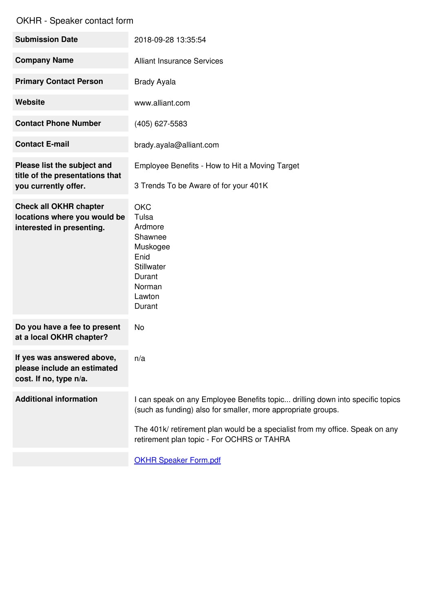| <b>Submission Date</b>                                                                     | 2018-09-28 13:35:54                                                                                                                                                                                                                                                         |
|--------------------------------------------------------------------------------------------|-----------------------------------------------------------------------------------------------------------------------------------------------------------------------------------------------------------------------------------------------------------------------------|
| <b>Company Name</b>                                                                        | <b>Alliant Insurance Services</b>                                                                                                                                                                                                                                           |
| <b>Primary Contact Person</b>                                                              | <b>Brady Ayala</b>                                                                                                                                                                                                                                                          |
| Website                                                                                    | www.alliant.com                                                                                                                                                                                                                                                             |
| <b>Contact Phone Number</b>                                                                | (405) 627-5583                                                                                                                                                                                                                                                              |
| <b>Contact E-mail</b>                                                                      | brady.ayala@alliant.com                                                                                                                                                                                                                                                     |
| Please list the subject and<br>title of the presentations that<br>you currently offer.     | Employee Benefits - How to Hit a Moving Target<br>3 Trends To be Aware of for your 401K                                                                                                                                                                                     |
| <b>Check all OKHR chapter</b><br>locations where you would be<br>interested in presenting. | <b>OKC</b><br>Tulsa<br>Ardmore<br>Shawnee<br>Muskogee<br>Enid<br><b>Stillwater</b><br>Durant<br>Norman<br>Lawton<br>Durant                                                                                                                                                  |
| Do you have a fee to present<br>at a local OKHR chapter?                                   | No                                                                                                                                                                                                                                                                          |
| If yes was answered above,<br>please include an estimated<br>cost. If no, type n/a.        | n/a                                                                                                                                                                                                                                                                         |
| <b>Additional information</b>                                                              | I can speak on any Employee Benefits topic drilling down into specific topics<br>(such as funding) also for smaller, more appropriate groups.<br>The 401k/ retirement plan would be a specialist from my office. Speak on any<br>retirement plan topic - For OCHRS or TAHRA |
|                                                                                            |                                                                                                                                                                                                                                                                             |

OKHR Speaker [Form.pdf](https://www.jotform.com/uploads/DeFalco78/form_files/OKHR Speaker Form.5ad767e329b352.57773025.pdf)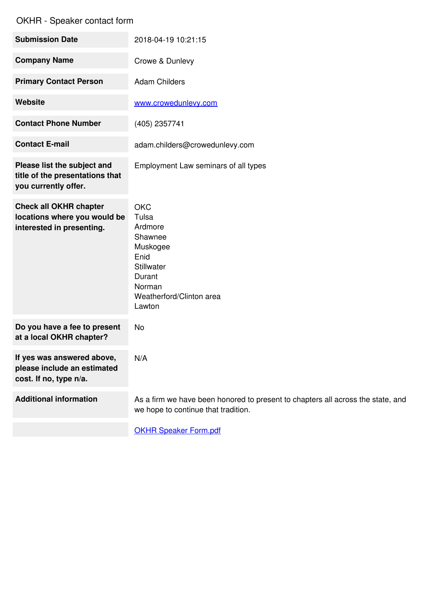| <b>Submission Date</b>                                                                     | 2018-04-19 10:21:15                                                                                                                          |
|--------------------------------------------------------------------------------------------|----------------------------------------------------------------------------------------------------------------------------------------------|
| <b>Company Name</b>                                                                        | Crowe & Dunlevy                                                                                                                              |
| <b>Primary Contact Person</b>                                                              | <b>Adam Childers</b>                                                                                                                         |
| Website                                                                                    | www.crowedunlevy.com                                                                                                                         |
| <b>Contact Phone Number</b>                                                                | (405) 2357741                                                                                                                                |
| <b>Contact E-mail</b>                                                                      | adam.childers@crowedunlevy.com                                                                                                               |
| Please list the subject and<br>title of the presentations that<br>you currently offer.     | Employment Law seminars of all types                                                                                                         |
| <b>Check all OKHR chapter</b><br>locations where you would be<br>interested in presenting. | <b>OKC</b><br>Tulsa<br>Ardmore<br>Shawnee<br>Muskogee<br>Enid<br><b>Stillwater</b><br>Durant<br>Norman<br>Weatherford/Clinton area<br>Lawton |
| Do you have a fee to present<br>at a local OKHR chapter?                                   | No                                                                                                                                           |
| If yes was answered above,<br>please include an estimated<br>cost. If no, type n/a.        | N/A                                                                                                                                          |
| <b>Additional information</b>                                                              | As a firm we have been honored to present to chapters all across the state, and<br>we hope to continue that tradition.                       |
|                                                                                            | <b>OKHR Speaker Form.pdf</b>                                                                                                                 |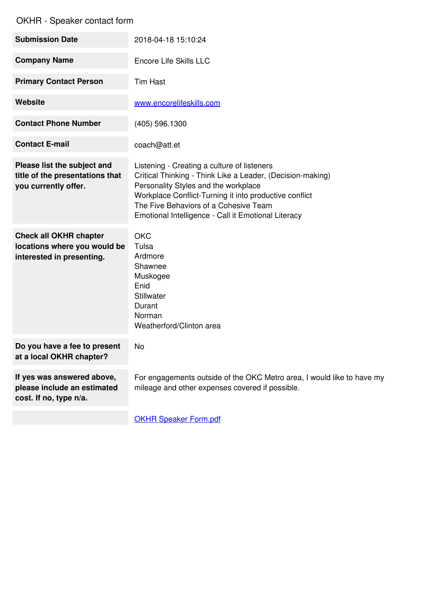| <b>Submission Date</b>                                                                     | 2018-04-18 15:10:24                                                                                                                                                                                                                                                                                         |
|--------------------------------------------------------------------------------------------|-------------------------------------------------------------------------------------------------------------------------------------------------------------------------------------------------------------------------------------------------------------------------------------------------------------|
| <b>Company Name</b>                                                                        | Encore Life Skills LLC                                                                                                                                                                                                                                                                                      |
| <b>Primary Contact Person</b>                                                              | <b>Tim Hast</b>                                                                                                                                                                                                                                                                                             |
| <b>Website</b>                                                                             | www.encorelifeskills.com                                                                                                                                                                                                                                                                                    |
| <b>Contact Phone Number</b>                                                                | (405) 596.1300                                                                                                                                                                                                                                                                                              |
| <b>Contact E-mail</b>                                                                      | coach@att.et                                                                                                                                                                                                                                                                                                |
| Please list the subject and<br>title of the presentations that<br>you currently offer.     | Listening - Creating a culture of listeners<br>Critical Thinking - Think Like a Leader, (Decision-making)<br>Personality Styles and the workplace<br>Workplace Conflict-Turning it into productive conflict<br>The Five Behaviors of a Cohesive Team<br>Emotional Intelligence - Call it Emotional Literacy |
| <b>Check all OKHR chapter</b><br>locations where you would be<br>interested in presenting. | <b>OKC</b><br>Tulsa<br>Ardmore<br>Shawnee<br>Muskogee<br>Enid<br>Stillwater<br>Durant<br>Norman<br>Weatherford/Clinton area                                                                                                                                                                                 |
| Do you have a fee to present<br>at a local OKHR chapter?                                   | No                                                                                                                                                                                                                                                                                                          |
|                                                                                            |                                                                                                                                                                                                                                                                                                             |
| If yes was answered above,<br>please include an estimated<br>cost. If no, type n/a.        | For engagements outside of the OKC Metro area, I would like to have my<br>mileage and other expenses covered if possible.                                                                                                                                                                                   |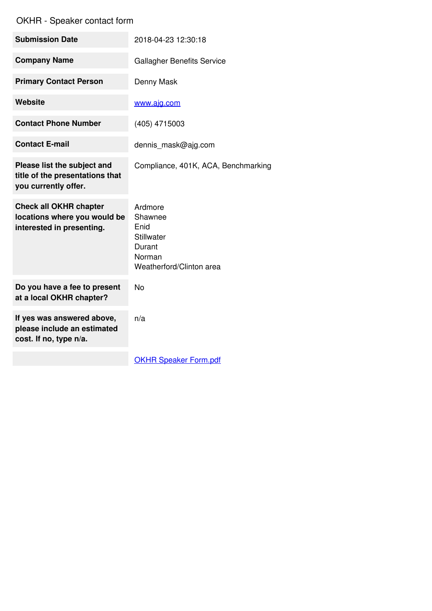| <b>Submission Date</b>                                                                     | 2018-04-23 12:30:18                                                                      |
|--------------------------------------------------------------------------------------------|------------------------------------------------------------------------------------------|
| <b>Company Name</b>                                                                        | <b>Gallagher Benefits Service</b>                                                        |
| <b>Primary Contact Person</b>                                                              | Denny Mask                                                                               |
| <b>Website</b>                                                                             | www.ajg.com                                                                              |
| <b>Contact Phone Number</b>                                                                | (405) 4715003                                                                            |
| <b>Contact E-mail</b>                                                                      | dennis_mask@ajg.com                                                                      |
| Please list the subject and<br>title of the presentations that<br>you currently offer.     | Compliance, 401K, ACA, Benchmarking                                                      |
| <b>Check all OKHR chapter</b><br>locations where you would be<br>interested in presenting. | Ardmore<br>Shawnee<br>Enid<br>Stillwater<br>Durant<br>Norman<br>Weatherford/Clinton area |
| Do you have a fee to present<br>at a local OKHR chapter?                                   | <b>No</b>                                                                                |
| If yes was answered above,<br>please include an estimated<br>cost. If no, type n/a.        | n/a                                                                                      |
|                                                                                            | <b>OKHR Speaker Form.pdf</b>                                                             |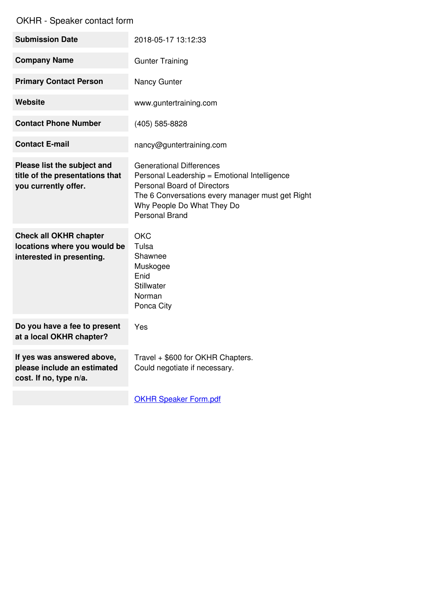| <b>Submission Date</b>                                                                     | 2018-05-17 13:12:33                                                                                                                                                                                                              |
|--------------------------------------------------------------------------------------------|----------------------------------------------------------------------------------------------------------------------------------------------------------------------------------------------------------------------------------|
| <b>Company Name</b>                                                                        | <b>Gunter Training</b>                                                                                                                                                                                                           |
| <b>Primary Contact Person</b>                                                              | Nancy Gunter                                                                                                                                                                                                                     |
| <b>Website</b>                                                                             | www.guntertraining.com                                                                                                                                                                                                           |
| <b>Contact Phone Number</b>                                                                | (405) 585-8828                                                                                                                                                                                                                   |
| <b>Contact E-mail</b>                                                                      | nancy@guntertraining.com                                                                                                                                                                                                         |
| Please list the subject and<br>title of the presentations that<br>you currently offer.     | <b>Generational Differences</b><br>Personal Leadership = Emotional Intelligence<br><b>Personal Board of Directors</b><br>The 6 Conversations every manager must get Right<br>Why People Do What They Do<br><b>Personal Brand</b> |
| <b>Check all OKHR chapter</b><br>locations where you would be<br>interested in presenting. | <b>OKC</b><br>Tulsa<br>Shawnee<br>Muskogee<br>Enid<br>Stillwater<br>Norman<br>Ponca City                                                                                                                                         |
| Do you have a fee to present<br>at a local OKHR chapter?                                   | Yes                                                                                                                                                                                                                              |
| If yes was answered above,<br>please include an estimated<br>cost. If no, type n/a.        | Travel + \$600 for OKHR Chapters.<br>Could negotiate if necessary.                                                                                                                                                               |
|                                                                                            | <b>OKHR Speaker Form.pdf</b>                                                                                                                                                                                                     |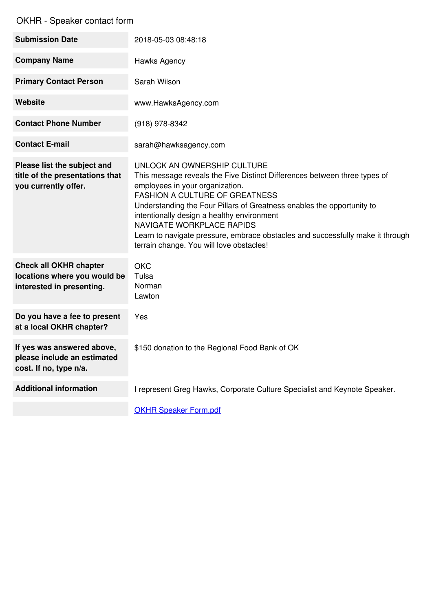| <b>Submission Date</b>                                                                     | 2018-05-03 08:48:18                                                                                                                                                                                                                                                                                                                                                                                                                                                            |
|--------------------------------------------------------------------------------------------|--------------------------------------------------------------------------------------------------------------------------------------------------------------------------------------------------------------------------------------------------------------------------------------------------------------------------------------------------------------------------------------------------------------------------------------------------------------------------------|
| <b>Company Name</b>                                                                        | Hawks Agency                                                                                                                                                                                                                                                                                                                                                                                                                                                                   |
| <b>Primary Contact Person</b>                                                              | Sarah Wilson                                                                                                                                                                                                                                                                                                                                                                                                                                                                   |
| <b>Website</b>                                                                             | www.HawksAgency.com                                                                                                                                                                                                                                                                                                                                                                                                                                                            |
| <b>Contact Phone Number</b>                                                                | (918) 978-8342                                                                                                                                                                                                                                                                                                                                                                                                                                                                 |
| <b>Contact E-mail</b>                                                                      | sarah@hawksagency.com                                                                                                                                                                                                                                                                                                                                                                                                                                                          |
| Please list the subject and<br>title of the presentations that<br>you currently offer.     | UNLOCK AN OWNERSHIP CULTURE<br>This message reveals the Five Distinct Differences between three types of<br>employees in your organization.<br><b>FASHION A CULTURE OF GREATNESS</b><br>Understanding the Four Pillars of Greatness enables the opportunity to<br>intentionally design a healthy environment<br><b>NAVIGATE WORKPLACE RAPIDS</b><br>Learn to navigate pressure, embrace obstacles and successfully make it through<br>terrain change. You will love obstacles! |
| <b>Check all OKHR chapter</b><br>locations where you would be<br>interested in presenting. | <b>OKC</b><br>Tulsa<br>Norman<br>Lawton                                                                                                                                                                                                                                                                                                                                                                                                                                        |
| Do you have a fee to present<br>at a local OKHR chapter?                                   | Yes                                                                                                                                                                                                                                                                                                                                                                                                                                                                            |
| If yes was answered above,<br>please include an estimated<br>cost. If no, type n/a.        | \$150 donation to the Regional Food Bank of OK                                                                                                                                                                                                                                                                                                                                                                                                                                 |
| <b>Additional information</b>                                                              | I represent Greg Hawks, Corporate Culture Specialist and Keynote Speaker.                                                                                                                                                                                                                                                                                                                                                                                                      |
|                                                                                            | <b>OKHR Speaker Form.pdf</b>                                                                                                                                                                                                                                                                                                                                                                                                                                                   |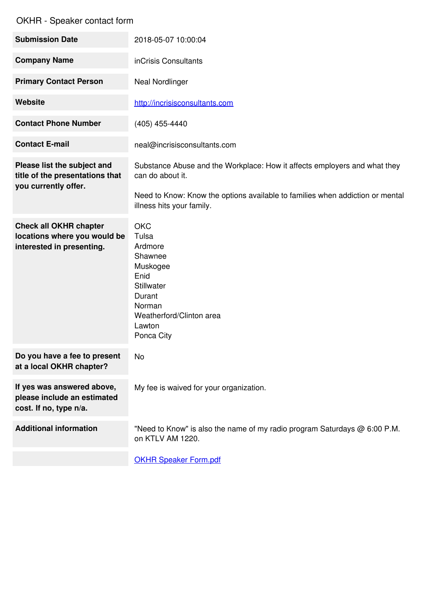| <b>Submission Date</b>                                                                     | 2018-05-07 10:00:04                                                                                                                                                                                         |
|--------------------------------------------------------------------------------------------|-------------------------------------------------------------------------------------------------------------------------------------------------------------------------------------------------------------|
| <b>Company Name</b>                                                                        | inCrisis Consultants                                                                                                                                                                                        |
| <b>Primary Contact Person</b>                                                              | <b>Neal Nordlinger</b>                                                                                                                                                                                      |
| <b>Website</b>                                                                             | http://incrisisconsultants.com                                                                                                                                                                              |
| <b>Contact Phone Number</b>                                                                | (405) 455-4440                                                                                                                                                                                              |
| <b>Contact E-mail</b>                                                                      | neal@incrisisconsultants.com                                                                                                                                                                                |
| Please list the subject and<br>title of the presentations that<br>you currently offer.     | Substance Abuse and the Workplace: How it affects employers and what they<br>can do about it.<br>Need to Know: Know the options available to families when addiction or mental<br>illness hits your family. |
| <b>Check all OKHR chapter</b><br>locations where you would be<br>interested in presenting. | <b>OKC</b><br>Tulsa<br>Ardmore<br>Shawnee<br>Muskogee<br>Enid<br>Stillwater<br>Durant<br>Norman<br>Weatherford/Clinton area<br>Lawton<br>Ponca City                                                         |
| Do you have a fee to present<br>at a local OKHR chapter?                                   | No                                                                                                                                                                                                          |
| If yes was answered above,<br>please include an estimated<br>cost. If no, type n/a.        | My fee is waived for your organization.                                                                                                                                                                     |
| <b>Additional information</b>                                                              | "Need to Know" is also the name of my radio program Saturdays @ 6:00 P.M.<br>on KTLV AM 1220.                                                                                                               |
|                                                                                            | <b>OKHR Speaker Form.pdf</b>                                                                                                                                                                                |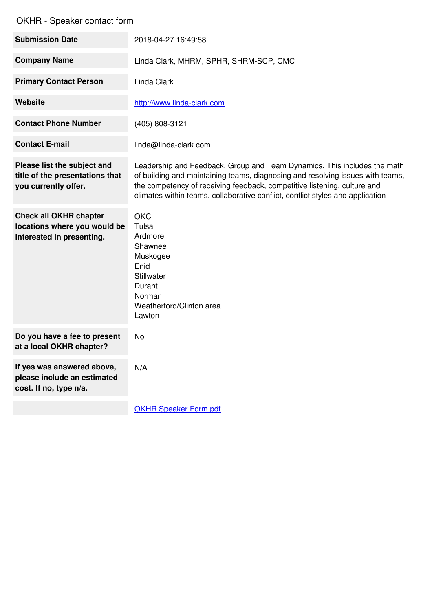| <b>Submission Date</b>                                                                     | 2018-04-27 16:49:58                                                                                                                                                                                                                                                                                                      |
|--------------------------------------------------------------------------------------------|--------------------------------------------------------------------------------------------------------------------------------------------------------------------------------------------------------------------------------------------------------------------------------------------------------------------------|
| <b>Company Name</b>                                                                        | Linda Clark, MHRM, SPHR, SHRM-SCP, CMC                                                                                                                                                                                                                                                                                   |
| <b>Primary Contact Person</b>                                                              | Linda Clark                                                                                                                                                                                                                                                                                                              |
| Website                                                                                    | http://www.linda-clark.com                                                                                                                                                                                                                                                                                               |
| <b>Contact Phone Number</b>                                                                | (405) 808-3121                                                                                                                                                                                                                                                                                                           |
| <b>Contact E-mail</b>                                                                      | linda@linda-clark.com                                                                                                                                                                                                                                                                                                    |
| Please list the subject and<br>title of the presentations that<br>you currently offer.     | Leadership and Feedback, Group and Team Dynamics. This includes the math<br>of building and maintaining teams, diagnosing and resolving issues with teams,<br>the competency of receiving feedback, competitive listening, culture and<br>climates within teams, collaborative conflict, conflict styles and application |
| <b>Check all OKHR chapter</b><br>locations where you would be<br>interested in presenting. | <b>OKC</b><br>Tulsa<br>Ardmore<br>Shawnee<br>Muskogee<br>Enid<br><b>Stillwater</b><br>Durant<br>Norman<br>Weatherford/Clinton area<br>Lawton                                                                                                                                                                             |
| Do you have a fee to present<br>at a local OKHR chapter?                                   | <b>No</b>                                                                                                                                                                                                                                                                                                                |
| If yes was answered above,<br>please include an estimated<br>cost. If no, type n/a.        | N/A                                                                                                                                                                                                                                                                                                                      |
|                                                                                            | <b>OKHR Speaker Form.pdf</b>                                                                                                                                                                                                                                                                                             |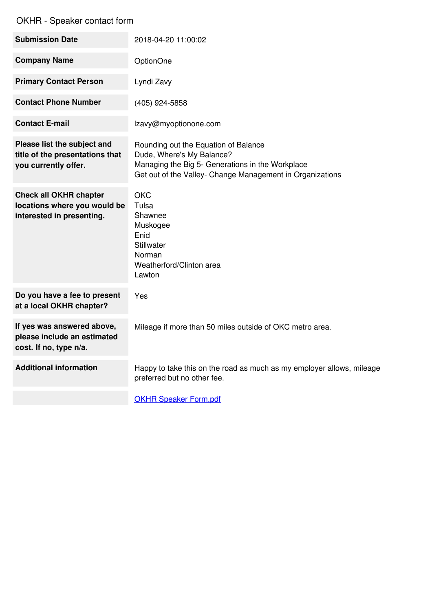| <b>Submission Date</b>                                                                     | 2018-04-20 11:00:02                                                                                                                                                                |
|--------------------------------------------------------------------------------------------|------------------------------------------------------------------------------------------------------------------------------------------------------------------------------------|
| <b>Company Name</b>                                                                        | OptionOne                                                                                                                                                                          |
| <b>Primary Contact Person</b>                                                              | Lyndi Zavy                                                                                                                                                                         |
| <b>Contact Phone Number</b>                                                                | (405) 924-5858                                                                                                                                                                     |
| <b>Contact E-mail</b>                                                                      | Izavy@myoptionone.com                                                                                                                                                              |
| Please list the subject and<br>title of the presentations that<br>you currently offer.     | Rounding out the Equation of Balance<br>Dude, Where's My Balance?<br>Managing the Big 5- Generations in the Workplace<br>Get out of the Valley- Change Management in Organizations |
| <b>Check all OKHR chapter</b><br>locations where you would be<br>interested in presenting. | <b>OKC</b><br>Tulsa<br>Shawnee<br>Muskogee<br>Enid<br><b>Stillwater</b><br>Norman<br>Weatherford/Clinton area<br>Lawton                                                            |
| Do you have a fee to present<br>at a local OKHR chapter?                                   | Yes                                                                                                                                                                                |
| If yes was answered above,<br>please include an estimated<br>cost. If no, type n/a.        | Mileage if more than 50 miles outside of OKC metro area.                                                                                                                           |
| <b>Additional information</b>                                                              | Happy to take this on the road as much as my employer allows, mileage<br>preferred but no other fee.                                                                               |
|                                                                                            | <b>OKHR Speaker Form.pdf</b>                                                                                                                                                       |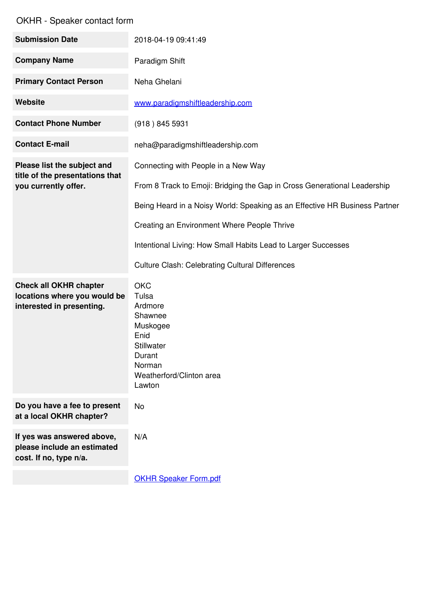| <b>Submission Date</b>                                                                     | 2018-04-19 09:41:49                                                                                                                   |
|--------------------------------------------------------------------------------------------|---------------------------------------------------------------------------------------------------------------------------------------|
| <b>Company Name</b>                                                                        | Paradigm Shift                                                                                                                        |
| <b>Primary Contact Person</b>                                                              | Neha Ghelani                                                                                                                          |
| Website                                                                                    | www.paradigmshiftleadership.com                                                                                                       |
| <b>Contact Phone Number</b>                                                                | (918) 845 5931                                                                                                                        |
| <b>Contact E-mail</b>                                                                      | neha@paradigmshiftleadership.com                                                                                                      |
| Please list the subject and                                                                | Connecting with People in a New Way                                                                                                   |
| title of the presentations that<br>you currently offer.                                    | From 8 Track to Emoji: Bridging the Gap in Cross Generational Leadership                                                              |
|                                                                                            | Being Heard in a Noisy World: Speaking as an Effective HR Business Partner                                                            |
|                                                                                            | Creating an Environment Where People Thrive                                                                                           |
|                                                                                            | Intentional Living: How Small Habits Lead to Larger Successes                                                                         |
|                                                                                            | <b>Culture Clash: Celebrating Cultural Differences</b>                                                                                |
| <b>Check all OKHR chapter</b><br>locations where you would be<br>interested in presenting. | <b>OKC</b><br>Tulsa<br>Ardmore<br>Shawnee<br>Muskogee<br>Enid<br>Stillwater<br>Durant<br>Norman<br>Weatherford/Clinton area<br>Lawton |
| Do you have a fee to present<br>at a local OKHR chapter?                                   | No                                                                                                                                    |
| If yes was answered above,<br>please include an estimated<br>cost. If no, type n/a.        | N/A                                                                                                                                   |
|                                                                                            | <b>OKHR Speaker Form.pdf</b>                                                                                                          |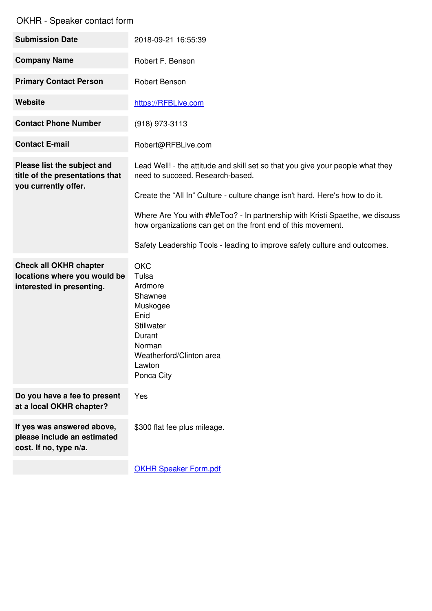| <b>Submission Date</b>                                                                     | 2018-09-21 16:55:39                                                                                                                                                                                 |
|--------------------------------------------------------------------------------------------|-----------------------------------------------------------------------------------------------------------------------------------------------------------------------------------------------------|
| <b>Company Name</b>                                                                        | Robert F. Benson                                                                                                                                                                                    |
| <b>Primary Contact Person</b>                                                              | Robert Benson                                                                                                                                                                                       |
| Website                                                                                    | https://RFBLive.com                                                                                                                                                                                 |
| <b>Contact Phone Number</b>                                                                | (918) 973-3113                                                                                                                                                                                      |
| <b>Contact E-mail</b>                                                                      | Robert@RFBLive.com                                                                                                                                                                                  |
| Please list the subject and<br>title of the presentations that<br>you currently offer.     | Lead Well! - the attitude and skill set so that you give your people what they<br>need to succeed. Research-based.<br>Create the "All In" Culture - culture change isn't hard. Here's how to do it. |
|                                                                                            | Where Are You with #MeToo? - In partnership with Kristi Spaethe, we discuss<br>how organizations can get on the front end of this movement.                                                         |
|                                                                                            | Safety Leadership Tools - leading to improve safety culture and outcomes.                                                                                                                           |
| <b>Check all OKHR chapter</b><br>locations where you would be<br>interested in presenting. | <b>OKC</b><br>Tulsa<br>Ardmore<br>Shawnee<br>Muskogee<br>Enid<br><b>Stillwater</b><br>Durant<br>Norman<br>Weatherford/Clinton area<br>Lawton<br>Ponca City                                          |
| Do you have a fee to present<br>at a local OKHR chapter?                                   | Yes                                                                                                                                                                                                 |
| If yes was answered above,<br>please include an estimated<br>cost. If no, type n/a.        | \$300 flat fee plus mileage.                                                                                                                                                                        |
|                                                                                            | <b>OKHR Speaker Form.pdf</b>                                                                                                                                                                        |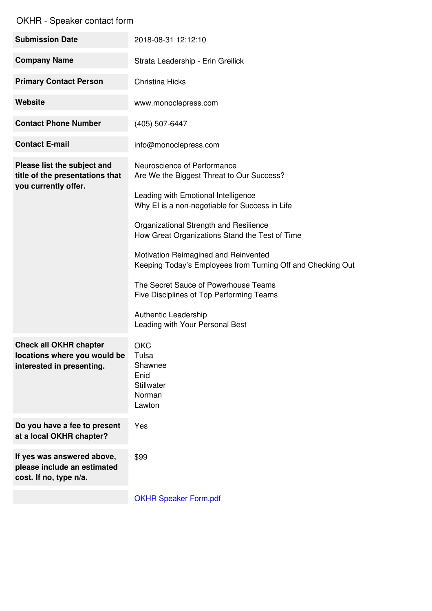| <b>Submission Date</b>                                                                     | 2018-08-31 12:12:10                                                                                             |
|--------------------------------------------------------------------------------------------|-----------------------------------------------------------------------------------------------------------------|
| <b>Company Name</b>                                                                        | Strata Leadership - Erin Greilick                                                                               |
| <b>Primary Contact Person</b>                                                              | <b>Christina Hicks</b>                                                                                          |
| Website                                                                                    | www.monoclepress.com                                                                                            |
| <b>Contact Phone Number</b>                                                                | (405) 507-6447                                                                                                  |
| <b>Contact E-mail</b>                                                                      | info@monoclepress.com                                                                                           |
| Please list the subject and<br>title of the presentations that<br>you currently offer.     | Neuroscience of Performance<br>Are We the Biggest Threat to Our Success?<br>Leading with Emotional Intelligence |
|                                                                                            | Why EI is a non-negotiable for Success in Life                                                                  |
|                                                                                            | Organizational Strength and Resilience<br>How Great Organizations Stand the Test of Time                        |
|                                                                                            | Motivation Reimagined and Reinvented<br>Keeping Today's Employees from Turning Off and Checking Out             |
|                                                                                            | The Secret Sauce of Powerhouse Teams<br>Five Disciplines of Top Performing Teams                                |
|                                                                                            | Authentic Leadership<br>Leading with Your Personal Best                                                         |
| <b>Check all OKHR chapter</b><br>locations where you would be<br>interested in presenting. | <b>OKC</b><br>Tulsa<br>Shawnee<br>Enid<br><b>Stillwater</b><br>Norman<br>Lawton                                 |
| Do you have a fee to present<br>at a local OKHR chapter?                                   | Yes                                                                                                             |
| If yes was answered above,<br>please include an estimated<br>cost. If no, type n/a.        | \$99                                                                                                            |
|                                                                                            | <b>OKHR Speaker Form.pdf</b>                                                                                    |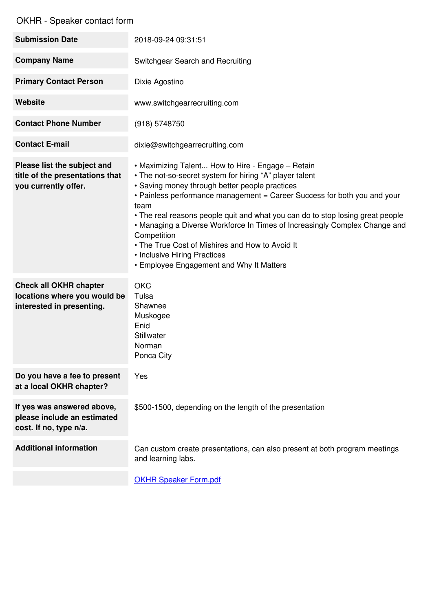| <b>Submission Date</b>                                                                     | 2018-09-24 09:31:51                                                                                                                                                                                                                                                                                                                                                                                                                                                                                                                                              |
|--------------------------------------------------------------------------------------------|------------------------------------------------------------------------------------------------------------------------------------------------------------------------------------------------------------------------------------------------------------------------------------------------------------------------------------------------------------------------------------------------------------------------------------------------------------------------------------------------------------------------------------------------------------------|
| <b>Company Name</b>                                                                        | Switchgear Search and Recruiting                                                                                                                                                                                                                                                                                                                                                                                                                                                                                                                                 |
| <b>Primary Contact Person</b>                                                              | Dixie Agostino                                                                                                                                                                                                                                                                                                                                                                                                                                                                                                                                                   |
| Website                                                                                    | www.switchgearrecruiting.com                                                                                                                                                                                                                                                                                                                                                                                                                                                                                                                                     |
| <b>Contact Phone Number</b>                                                                | (918) 5748750                                                                                                                                                                                                                                                                                                                                                                                                                                                                                                                                                    |
| <b>Contact E-mail</b>                                                                      | dixie@switchgearrecruiting.com                                                                                                                                                                                                                                                                                                                                                                                                                                                                                                                                   |
| Please list the subject and<br>title of the presentations that<br>you currently offer.     | • Maximizing Talent How to Hire - Engage - Retain<br>• The not-so-secret system for hiring "A" player talent<br>• Saving money through better people practices<br>• Painless performance management = Career Success for both you and your<br>team<br>• The real reasons people quit and what you can do to stop losing great people<br>• Managing a Diverse Workforce In Times of Increasingly Complex Change and<br>Competition<br>• The True Cost of Mishires and How to Avoid It<br>• Inclusive Hiring Practices<br>• Employee Engagement and Why It Matters |
| <b>Check all OKHR chapter</b><br>locations where you would be<br>interested in presenting. | <b>OKC</b><br>Tulsa<br>Shawnee<br>Muskogee<br>Enid<br>Stillwater<br>Norman<br>Ponca City                                                                                                                                                                                                                                                                                                                                                                                                                                                                         |
| Do you have a fee to present<br>at a local OKHR chapter?                                   | Yes                                                                                                                                                                                                                                                                                                                                                                                                                                                                                                                                                              |
| If yes was answered above,<br>please include an estimated<br>cost. If no, type n/a.        | \$500-1500, depending on the length of the presentation                                                                                                                                                                                                                                                                                                                                                                                                                                                                                                          |
| <b>Additional information</b>                                                              | Can custom create presentations, can also present at both program meetings<br>and learning labs.                                                                                                                                                                                                                                                                                                                                                                                                                                                                 |
|                                                                                            | <b>OKHR Speaker Form.pdf</b>                                                                                                                                                                                                                                                                                                                                                                                                                                                                                                                                     |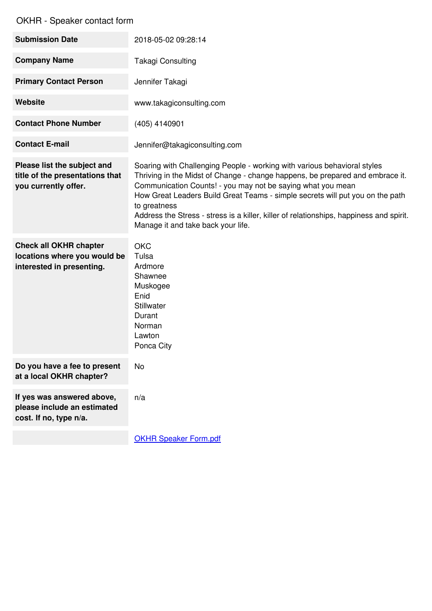| <b>Submission Date</b>                                                                     | 2018-05-02 09:28:14                                                                                                                                                                                                                                                                                                                                                                                                                                        |
|--------------------------------------------------------------------------------------------|------------------------------------------------------------------------------------------------------------------------------------------------------------------------------------------------------------------------------------------------------------------------------------------------------------------------------------------------------------------------------------------------------------------------------------------------------------|
| <b>Company Name</b>                                                                        | <b>Takagi Consulting</b>                                                                                                                                                                                                                                                                                                                                                                                                                                   |
| <b>Primary Contact Person</b>                                                              | Jennifer Takagi                                                                                                                                                                                                                                                                                                                                                                                                                                            |
| Website                                                                                    | www.takagiconsulting.com                                                                                                                                                                                                                                                                                                                                                                                                                                   |
| <b>Contact Phone Number</b>                                                                | (405) 4140901                                                                                                                                                                                                                                                                                                                                                                                                                                              |
| <b>Contact E-mail</b>                                                                      | Jennifer@takagiconsulting.com                                                                                                                                                                                                                                                                                                                                                                                                                              |
| Please list the subject and<br>title of the presentations that<br>you currently offer.     | Soaring with Challenging People - working with various behavioral styles<br>Thriving in the Midst of Change - change happens, be prepared and embrace it.<br>Communication Counts! - you may not be saying what you mean<br>How Great Leaders Build Great Teams - simple secrets will put you on the path<br>to greatness<br>Address the Stress - stress is a killer, killer of relationships, happiness and spirit.<br>Manage it and take back your life. |
| <b>Check all OKHR chapter</b><br>locations where you would be<br>interested in presenting. | <b>OKC</b><br>Tulsa<br>Ardmore<br>Shawnee<br>Muskogee<br>Enid<br>Stillwater<br>Durant<br>Norman<br>Lawton<br>Ponca City                                                                                                                                                                                                                                                                                                                                    |
| Do you have a fee to present<br>at a local OKHR chapter?                                   | No                                                                                                                                                                                                                                                                                                                                                                                                                                                         |
| If yes was answered above,<br>please include an estimated<br>cost. If no, type n/a.        | n/a                                                                                                                                                                                                                                                                                                                                                                                                                                                        |
|                                                                                            |                                                                                                                                                                                                                                                                                                                                                                                                                                                            |

**OKHR Speaker [Form.pdf](https://www.jotform.com/uploads/DeFalco78/form_files/OKHR Speaker Form.5ad767e329b352.57773025.pdf)**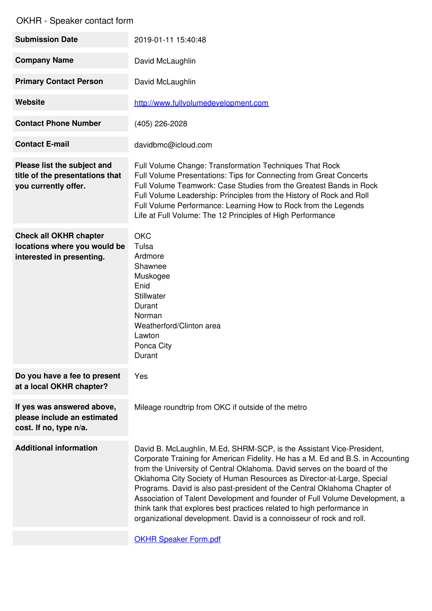| <b>Submission Date</b>                                                                     | 2019-01-11 15:40:48                                                                                                                                                                                                                                                                                                                                                                                                                                                                                                                                                                                                           |
|--------------------------------------------------------------------------------------------|-------------------------------------------------------------------------------------------------------------------------------------------------------------------------------------------------------------------------------------------------------------------------------------------------------------------------------------------------------------------------------------------------------------------------------------------------------------------------------------------------------------------------------------------------------------------------------------------------------------------------------|
| <b>Company Name</b>                                                                        | David McLaughlin                                                                                                                                                                                                                                                                                                                                                                                                                                                                                                                                                                                                              |
| <b>Primary Contact Person</b>                                                              | David McLaughlin                                                                                                                                                                                                                                                                                                                                                                                                                                                                                                                                                                                                              |
| <b>Website</b>                                                                             | http://www.fullvolumedevelopment.com                                                                                                                                                                                                                                                                                                                                                                                                                                                                                                                                                                                          |
| <b>Contact Phone Number</b>                                                                | (405) 226-2028                                                                                                                                                                                                                                                                                                                                                                                                                                                                                                                                                                                                                |
| <b>Contact E-mail</b>                                                                      | davidbmc@icloud.com                                                                                                                                                                                                                                                                                                                                                                                                                                                                                                                                                                                                           |
| Please list the subject and<br>title of the presentations that<br>you currently offer.     | Full Volume Change: Transformation Techniques That Rock<br>Full Volume Presentations: Tips for Connecting from Great Concerts<br>Full Volume Teamwork: Case Studies from the Greatest Bands in Rock<br>Full Volume Leadership: Principles from the History of Rock and Roll<br>Full Volume Performance: Learning How to Rock from the Legends<br>Life at Full Volume: The 12 Principles of High Performance                                                                                                                                                                                                                   |
| <b>Check all OKHR chapter</b><br>locations where you would be<br>interested in presenting. | <b>OKC</b><br>Tulsa<br>Ardmore<br>Shawnee<br>Muskogee<br>Enid<br>Stillwater<br>Durant<br>Norman<br>Weatherford/Clinton area<br>Lawton<br>Ponca City<br>Durant                                                                                                                                                                                                                                                                                                                                                                                                                                                                 |
| Do you have a fee to present<br>at a local OKHR chapter?                                   | Yes                                                                                                                                                                                                                                                                                                                                                                                                                                                                                                                                                                                                                           |
| If yes was answered above,<br>please include an estimated<br>cost. If no, type n/a.        | Mileage roundtrip from OKC if outside of the metro                                                                                                                                                                                                                                                                                                                                                                                                                                                                                                                                                                            |
| <b>Additional information</b>                                                              | David B. McLaughlin, M.Ed, SHRM-SCP, is the Assistant Vice-President,<br>Corporate Training for American Fidelity. He has a M. Ed and B.S. in Accounting<br>from the University of Central Oklahoma. David serves on the board of the<br>Oklahoma City Society of Human Resources as Director-at-Large, Special<br>Programs. David is also past-president of the Central Oklahoma Chapter of<br>Association of Talent Development and founder of Full Volume Development, a<br>think tank that explores best practices related to high performance in<br>organizational development. David is a connoisseur of rock and roll. |
|                                                                                            |                                                                                                                                                                                                                                                                                                                                                                                                                                                                                                                                                                                                                               |

OKHR Speaker [Form.pdf](https://www.jotform.com/uploads/DeFalco78/form_files/OKHR Speaker Form.5ad767e329b352.57773025.pdf)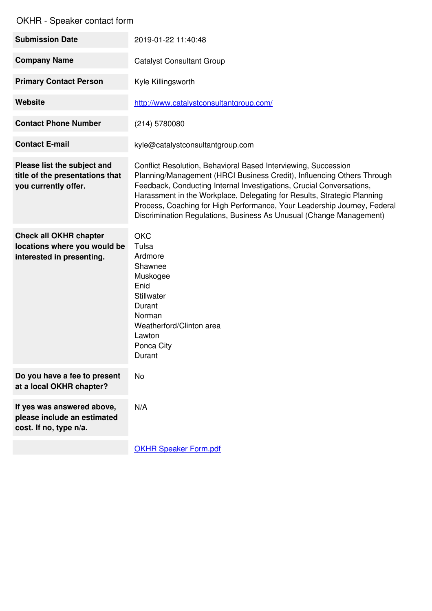| <b>Submission Date</b>                                                                     | 2019-01-22 11:40:48                                                                                                                                                                                                                                                                                                                                                                                                                            |
|--------------------------------------------------------------------------------------------|------------------------------------------------------------------------------------------------------------------------------------------------------------------------------------------------------------------------------------------------------------------------------------------------------------------------------------------------------------------------------------------------------------------------------------------------|
| <b>Company Name</b>                                                                        | <b>Catalyst Consultant Group</b>                                                                                                                                                                                                                                                                                                                                                                                                               |
| <b>Primary Contact Person</b>                                                              | Kyle Killingsworth                                                                                                                                                                                                                                                                                                                                                                                                                             |
| <b>Website</b>                                                                             | http://www.catalystconsultantgroup.com/                                                                                                                                                                                                                                                                                                                                                                                                        |
| <b>Contact Phone Number</b>                                                                | (214) 5780080                                                                                                                                                                                                                                                                                                                                                                                                                                  |
| <b>Contact E-mail</b>                                                                      | kyle@catalystconsultantgroup.com                                                                                                                                                                                                                                                                                                                                                                                                               |
| Please list the subject and<br>title of the presentations that<br>you currently offer.     | Conflict Resolution, Behavioral Based Interviewing, Succession<br>Planning/Management (HRCI Business Credit), Influencing Others Through<br>Feedback, Conducting Internal Investigations, Crucial Conversations,<br>Harassment in the Workplace, Delegating for Results, Strategic Planning<br>Process, Coaching for High Performance, Your Leadership Journey, Federal<br>Discrimination Regulations, Business As Unusual (Change Management) |
| <b>Check all OKHR chapter</b><br>locations where you would be<br>interested in presenting. | <b>OKC</b><br>Tulsa<br>Ardmore<br>Shawnee<br>Muskogee<br>Enid<br><b>Stillwater</b><br>Durant<br>Norman<br>Weatherford/Clinton area<br>Lawton<br>Ponca City<br>Durant                                                                                                                                                                                                                                                                           |
| Do you have a fee to present<br>at a local OKHR chapter?                                   | No                                                                                                                                                                                                                                                                                                                                                                                                                                             |
| If yes was answered above,<br>please include an estimated<br>cost. If no, type n/a.        | N/A                                                                                                                                                                                                                                                                                                                                                                                                                                            |
|                                                                                            | <b>OKHR Speaker Form.pdf</b>                                                                                                                                                                                                                                                                                                                                                                                                                   |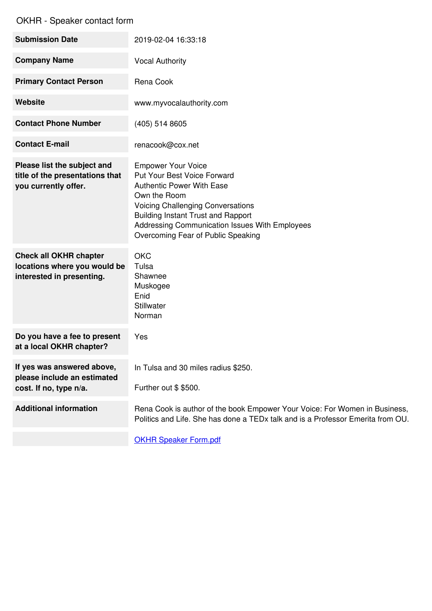| <b>Submission Date</b>                                                                     | 2019-02-04 16:33:18                                                                                                                                                                                                                                                                                  |
|--------------------------------------------------------------------------------------------|------------------------------------------------------------------------------------------------------------------------------------------------------------------------------------------------------------------------------------------------------------------------------------------------------|
| <b>Company Name</b>                                                                        | <b>Vocal Authority</b>                                                                                                                                                                                                                                                                               |
| <b>Primary Contact Person</b>                                                              | Rena Cook                                                                                                                                                                                                                                                                                            |
| <b>Website</b>                                                                             | www.myvocalauthority.com                                                                                                                                                                                                                                                                             |
| <b>Contact Phone Number</b>                                                                | (405) 514 8605                                                                                                                                                                                                                                                                                       |
| <b>Contact E-mail</b>                                                                      | renacook@cox.net                                                                                                                                                                                                                                                                                     |
| Please list the subject and<br>title of the presentations that<br>you currently offer.     | <b>Empower Your Voice</b><br><b>Put Your Best Voice Forward</b><br><b>Authentic Power With Ease</b><br>Own the Room<br><b>Voicing Challenging Conversations</b><br><b>Building Instant Trust and Rapport</b><br>Addressing Communication Issues With Employees<br>Overcoming Fear of Public Speaking |
| <b>Check all OKHR chapter</b><br>locations where you would be<br>interested in presenting. | <b>OKC</b><br>Tulsa<br>Shawnee<br>Muskogee<br>Enid<br><b>Stillwater</b><br>Norman                                                                                                                                                                                                                    |
| Do you have a fee to present<br>at a local OKHR chapter?                                   | Yes                                                                                                                                                                                                                                                                                                  |
| If yes was answered above,<br>please include an estimated<br>cost. If no, type n/a.        | In Tulsa and 30 miles radius \$250.<br>Further out \$\$500.                                                                                                                                                                                                                                          |
| <b>Additional information</b>                                                              | Rena Cook is author of the book Empower Your Voice: For Women in Business,<br>Politics and Life. She has done a TEDx talk and is a Professor Emerita from OU.                                                                                                                                        |
|                                                                                            |                                                                                                                                                                                                                                                                                                      |

**OKHR Speaker [Form.pdf](https://www.jotform.com/uploads/DeFalco78/form_files/OKHR Speaker Form.5ad767e329b352.57773025.pdf)**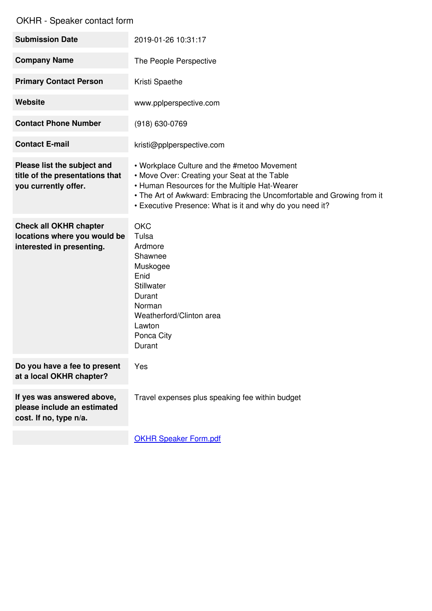| <b>Submission Date</b>                                                                     | 2019-01-26 10:31:17                                                                                                                                                                                                                                                               |
|--------------------------------------------------------------------------------------------|-----------------------------------------------------------------------------------------------------------------------------------------------------------------------------------------------------------------------------------------------------------------------------------|
| <b>Company Name</b>                                                                        | The People Perspective                                                                                                                                                                                                                                                            |
| <b>Primary Contact Person</b>                                                              | Kristi Spaethe                                                                                                                                                                                                                                                                    |
| <b>Website</b>                                                                             | www.pplperspective.com                                                                                                                                                                                                                                                            |
| <b>Contact Phone Number</b>                                                                | (918) 630-0769                                                                                                                                                                                                                                                                    |
| <b>Contact E-mail</b>                                                                      | kristi@pplperspective.com                                                                                                                                                                                                                                                         |
| Please list the subject and<br>title of the presentations that<br>you currently offer.     | • Workplace Culture and the #metoo Movement<br>• Move Over: Creating your Seat at the Table<br>• Human Resources for the Multiple Hat-Wearer<br>• The Art of Awkward: Embracing the Uncomfortable and Growing from it<br>• Executive Presence: What is it and why do you need it? |
| <b>Check all OKHR chapter</b><br>locations where you would be<br>interested in presenting. | <b>OKC</b><br>Tulsa<br>Ardmore<br>Shawnee<br>Muskogee<br>Enid<br>Stillwater<br>Durant<br>Norman<br>Weatherford/Clinton area<br>Lawton<br>Ponca City<br>Durant                                                                                                                     |
| Do you have a fee to present<br>at a local OKHR chapter?                                   | Yes                                                                                                                                                                                                                                                                               |
| If yes was answered above,<br>please include an estimated<br>cost. If no, type n/a.        | Travel expenses plus speaking fee within budget                                                                                                                                                                                                                                   |
|                                                                                            |                                                                                                                                                                                                                                                                                   |

**OKHR Speaker [Form.pdf](https://www.jotform.com/uploads/DeFalco78/form_files/OKHR Speaker Form.5ad767e329b352.57773025.pdf)**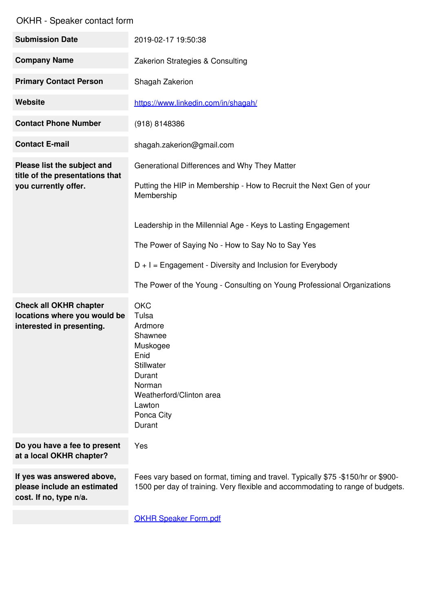| <b>Submission Date</b>                                                                     | 2019-02-17 19:50:38                                                                                                                                                                                                                                                                                                                                                                                |
|--------------------------------------------------------------------------------------------|----------------------------------------------------------------------------------------------------------------------------------------------------------------------------------------------------------------------------------------------------------------------------------------------------------------------------------------------------------------------------------------------------|
| <b>Company Name</b>                                                                        | Zakerion Strategies & Consulting                                                                                                                                                                                                                                                                                                                                                                   |
| <b>Primary Contact Person</b>                                                              | Shagah Zakerion                                                                                                                                                                                                                                                                                                                                                                                    |
| Website                                                                                    | https://www.linkedin.com/in/shagah/                                                                                                                                                                                                                                                                                                                                                                |
| <b>Contact Phone Number</b>                                                                | (918) 8148386                                                                                                                                                                                                                                                                                                                                                                                      |
| <b>Contact E-mail</b>                                                                      | shagah.zakerion@gmail.com                                                                                                                                                                                                                                                                                                                                                                          |
| Please list the subject and<br>title of the presentations that<br>you currently offer.     | Generational Differences and Why They Matter<br>Putting the HIP in Membership - How to Recruit the Next Gen of your<br>Membership<br>Leadership in the Millennial Age - Keys to Lasting Engagement<br>The Power of Saying No - How to Say No to Say Yes<br>$D + I =$ Engagement - Diversity and Inclusion for Everybody<br>The Power of the Young - Consulting on Young Professional Organizations |
| <b>Check all OKHR chapter</b><br>locations where you would be<br>interested in presenting. | <b>OKC</b><br>Tulsa<br>Ardmore<br>Shawnee<br>Muskogee<br>Enid<br><b>Stillwater</b><br>Durant<br>Norman<br>Weatherford/Clinton area<br>Lawton<br>Ponca City<br>Durant                                                                                                                                                                                                                               |
| Do you have a fee to present<br>at a local OKHR chapter?                                   | Yes                                                                                                                                                                                                                                                                                                                                                                                                |
| If yes was answered above,<br>please include an estimated<br>cost. If no, type n/a.        | Fees vary based on format, timing and travel. Typically \$75 -\$150/hr or \$900-<br>1500 per day of training. Very flexible and accommodating to range of budgets.                                                                                                                                                                                                                                 |
|                                                                                            | <b>OKHR Speaker Form.pdf</b>                                                                                                                                                                                                                                                                                                                                                                       |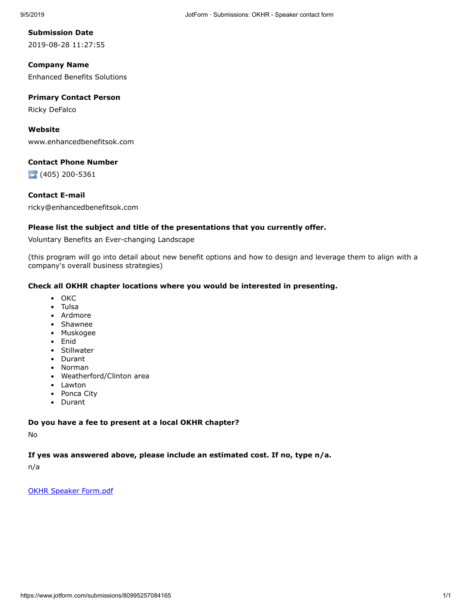**Submission Date** 2019-08-28 11:27:55

**Company Name** Enhanced Benefits Solutions

#### **Primary Contact Person**

Ricky DeFalco

#### **Website**

www.enhancedbenefitsok.com

#### **Contact Phone Number**

(405) 200-5361

#### **Contact E-mail**

ricky@enhancedbenefitsok.com

#### **Please list the subject and title of the presentations that you currently offer.**

Voluntary Benefits an Ever-changing Landscape

(this program will go into detail about new benefit options and how to design and leverage them to align with a company's overall business strategies)

#### **Check all OKHR chapter locations where you would be interested in presenting.**

- OKC
- Tulsa
- Ardmore
- Shawnee
- Muskogee
- Enid
- Stillwater
- Durant
- Norman
- Weatherford/Clinton area
- Lawton
- Ponca City
- Durant

#### **Do you have a fee to present at a local OKHR chapter?**

No

#### **If yes was answered above, please include an estimated cost. If no, type n/a.**

n/a

[OKHR Speaker Form.pdf](https://www.jotform.com/uploads/DeFalco78/form_files/OKHR%20Speaker%20Form.5ad767e329b352.57773025.pdf)